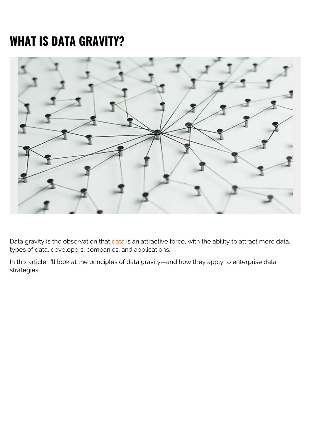# **WHAT IS DATA GRAVITY?**



Data gravity is the observation that *data* is an attractive force, with the ability to attract more data, types of data, developers, companies, and applications.

In this article, I'll look at the principles of data gravity—and how they apply to enterprise data strategies.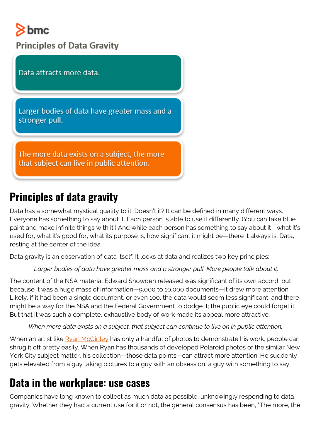# $8$  bmc

**Principles of Data Gravity** 

Data attracts more data.

Larger bodies of data have greater mass and a stronger pull.

The more data exists on a subject, the more that subject can live in public attention.

# **Principles of data gravity**

Data has a somewhat mystical quality to it. Doesn't it? It can be defined in many different ways. Everyone has something to say about it. Each person is able to use it differently. (You can take blue paint and make infinite things with it.) And while each person has something to say about it—what it's used for, what it's good for, what its purpose is, how significant it might be—there it always is. Data, resting at the center of the idea.

Data gravity is an observation of data itself. It looks at data and realizes two key principles:

#### *Larger bodies of data have greater mass and a stronger pull. More people talk about it.*

The content of the NSA material Edward Snowden released was significant of its own accord, but because it was a huge mass of information—9,000 to 10,000 documents—it drew more attention. Likely, if it had been a single document, or even 100, the data would seem less significant, and there might be a way for the NSA and the Federal Government to dodge it; the public eye could forget it. But that it was such a complete, exhaustive body of work made its appeal more attractive.

*When more data exists on a subject, that subject can continue to live on in public attention.*

When an artist like [Ryan McGinley](https://en.wikipedia.org/wiki/Ryan_McGinley) has only a handful of photos to demonstrate his work, people can shrug it off pretty easily. When Ryan has thousands of developed Polaroid photos of the similar New York City subject matter, his collection—those data points—can attract more attention. He suddenly gets elevated from a guy taking pictures to a guy with an obsession, a guy with something to say.

### **Data in the workplace: use cases**

Companies have long known to collect as much data as possible, unknowingly responding to data gravity. Whether they had a current use for it or not, the general consensus has been, "The more, the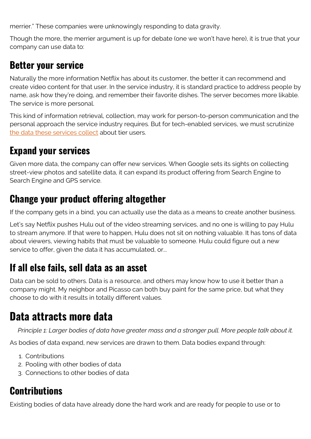merrier." These companies were unknowingly responding to data gravity.

Though the more, the merrier argument is up for debate (one we won't have here), it is true that your company can use data to:

#### **Better your service**

Naturally the more information Netflix has about its customer, the better it can recommend and create video content for that user. In the service industry, it is standard practice to address people by name, ask how they're doing, and remember their favorite dishes. The server becomes more likable. The service is more personal.

This kind of information retrieval, collection, may work for person-to-person communication and the personal approach the service industry requires. But for tech-enabled services, we must scrutinize [the data these services collect](https://blogs.bmc.com/blogs/structured-vs-unstructured-data/) about tier users.

### **Expand your services**

Given more data, the company can offer new services. When Google sets its sights on collecting street-view photos and satellite data, it can expand its product offering from Search Engine to Search Engine and GPS service.

#### **Change your product offering altogether**

If the company gets in a bind, you can actually use the data as a means to create another business.

Let's say Netflix pushes Hulu out of the video streaming services, and no one is willing to pay Hulu to stream anymore. If that were to happen, Hulu does not sit on nothing valuable. It has tons of data about viewers, viewing habits that must be valuable to someone. Hulu could figure out a new service to offer, given the data it has accumulated, or...

#### **If all else fails, sell data as an asset**

Data can be sold to others. Data is a resource, and others may know how to use it better than a company might. My neighbor and Picasso can both buy paint for the same price, but what they choose to do with it results in totally different values.

# **Data attracts more data**

*Principle 1: Larger bodies of data have greater mass and a stronger pull. More people talk about it.*

As bodies of data expand, new services are drawn to them. Data bodies expand through:

- 1. Contributions
- 2. Pooling with other bodies of data
- 3. Connections to other bodies of data

# **Contributions**

Existing bodies of data have already done the hard work and are ready for people to use or to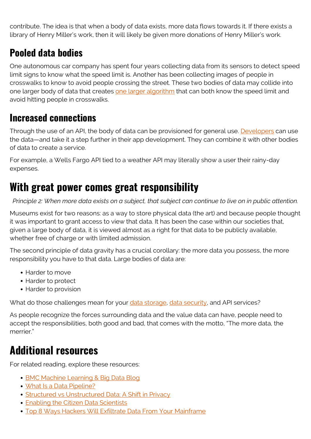contribute. The idea is that when a body of data exists, more data flows towards it. If there exists a library of Henry Miller's work, then it will likely be given more donations of Henry Miller's work.

#### **Pooled data bodies**

One autonomous car company has spent four years collecting data from its sensors to detect speed limit signs to know what the speed limit is. Another has been collecting images of people in crosswalks to know to avoid people crossing the street. These two bodies of data may collide into one larger body of data that creates [one larger algorithm](https://blogs.bmc.com/blogs/machine-learning-algorithms/) that can both know the speed limit and avoid hitting people in crosswalks.

#### **Increased connections**

Through the use of an API, the body of data can be provisioned for general use. [Developers](https://blogs.bmc.com/blogs/application-developer-roles-responsibilities/) can use the data—and take it a step further in their app development. They can combine it with other bodies of data to create a service.

For example, a Wells Fargo API tied to a weather API may literally show a user their rainy-day expenses.

# **With great power comes great responsibility**

*Principle 2: When more data exists on a subject, that subject can continue to live on in public attention.*

Museums exist for two reasons: as a way to store physical data (the art) and because people thought it was important to grant access to view that data. It has been the case within our societies that, given a large body of data, it is viewed almost as a right for that data to be publicly available, whether free of charge or with limited admission.

The second principle of data gravity has a crucial corollary: the more data you possess, the more responsibility you have to that data. Large bodies of data are:

- Harder to move
- Harder to protect
- Harder to provision

What do those challenges mean for your [data storage,](https://blogs.bmc.com/blogs/data-lake-vs-data-warehouse-vs-database-whats-the-difference/) [data security](https://blogs.bmc.com/blogs/big-data-security-issues-enterprise/), and API services?

As people recognize the forces surrounding data and the value data can have, people need to accept the responsibilities, both good and bad, that comes with the motto, "The more data, the merrier."

# **Additional resources**

For related reading, explore these resources:

- **[BMC Machine Learning & Big Data Blog](https://blogs.bmc.com/blogs/categories/machine-learning-big-data/)**
- [What Is a Data Pipeline?](https://blogs.bmc.com/blogs/data-pipeline/)
- [Structured vs Unstructured Data: A Shift in Privacy](https://blogs.bmc.com/blogs/structured-vs-unstructured-data/)
- **[Enabling the Citizen Data Scientists](https://blogs.bmc.com/blogs/citizen-data-scientist/)**
- [Top 8 Ways Hackers Will Exfiltrate Data From Your Mainframe](https://blogs.bmc.com/blogs/top-8-ways-hackers-exfiltrate-data-from-mainframe/)